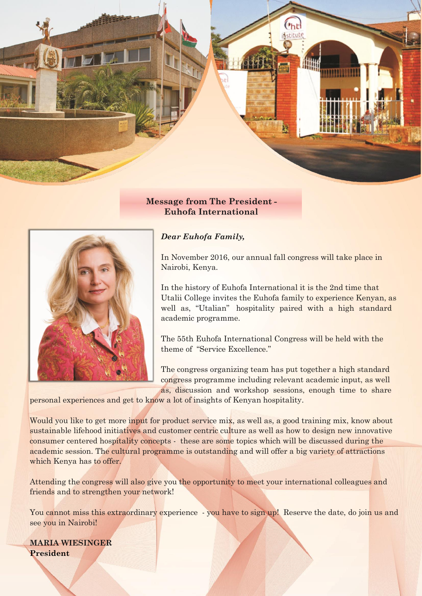

## **Message from The President - Euhofa International**



## *Dear Euhofa Family,*

In November 2016, our annual fall congress will take place in Nairobi, Kenya.

In the history of Euhofa International it is the 2nd time that Utalii College invites the Euhofa family to experience Kenyan, as well as, "Utalian" hospitality paired with a high standard academic programme.

The 55th Euhofa International Congress will be held with the theme of "Service Excellence."

The congress organizing team has put together a high standard congress programme including relevant academic input, as well as, discussion and workshop sessions, enough time to share

personal experiences and get to know a lot of insights of Kenyan hospitality.

Would you like to get more input for product service mix, as well as, a good training mix, know about sustainable lifehood initiatives and customer centric culture as well as how to design new innovative consumer centered hospitality concepts - these are some topics which will be discussed during the academic session. The cultural programme is outstanding and will offer a big variety of attractions which Kenya has to offer.

Attending the congress will also give you the opportunity to meet your international colleagues and friends and to strengthen your network!

You cannot miss this extraordinary experience - you have to sign up! Reserve the date, do join us and see you in Nairobi!

**MARIA WIESINGER President**